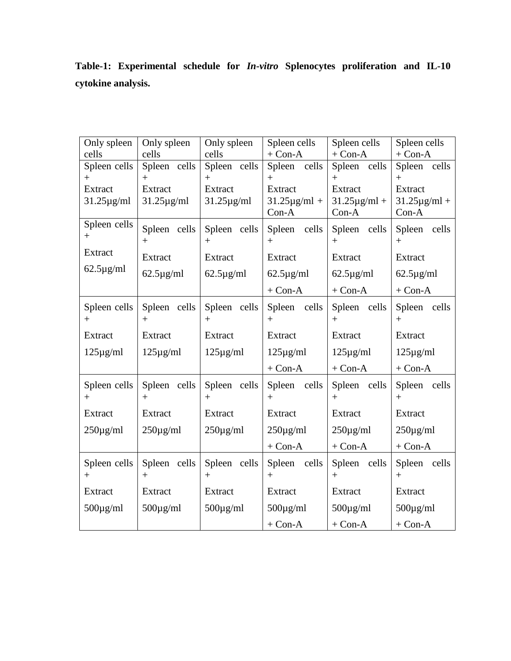| Only spleen<br>cells        | Only spleen<br>cells        | Only spleen<br>cells        | Spleen cells<br>$+$ Con-A                | Spleen cells<br>$+$ Con-A                | Spleen cells<br>$+$ Con-A                |  |
|-----------------------------|-----------------------------|-----------------------------|------------------------------------------|------------------------------------------|------------------------------------------|--|
| Spleen cells<br>$^{+}$      | Spleen cells<br>$^{+}$      | Spleen cells<br>$^{+}$      | Spleen cells<br>$+$                      | Spleen cells<br>$+$                      | Spleen cells<br>$+$                      |  |
| Extract<br>$31.25 \mu g/ml$ | Extract<br>$31.25 \mu g/ml$ | Extract<br>$31.25 \mu g/ml$ | Extract<br>$31.25 \mu g/ml +$<br>$Con-A$ | Extract<br>$31.25 \mu g/ml +$<br>$Con-A$ | Extract<br>$31.25 \mu g/ml +$<br>$Con-A$ |  |
| Spleen cells<br>$^{+}$      | Spleen cells<br>$+$         | Spleen cells<br>$+$         | Spleen cells<br>$^{+}$                   | Spleen cells<br>$+$                      | Spleen cells<br>$+$                      |  |
| Extract                     | Extract                     | Extract                     | Extract                                  | Extract                                  | Extract                                  |  |
| $62.5 \mu g/ml$             | $62.5 \mu g/ml$             | $62.5 \mu g/ml$             | $62.5 \mu g/ml$                          | $62.5 \mu g/ml$                          | $62.5 \mu g/ml$                          |  |
|                             |                             |                             | $+$ Con-A                                | $+$ Con-A                                | $+$ Con-A                                |  |
| Spleen cells<br>$^{+}$      | Spleen cells<br>$^{+}$      | Spleen cells<br>$^{+}$      | Spleen cells<br>$+$                      | Spleen cells<br>$+$                      | Spleen cells<br>$+$                      |  |
| Extract                     | Extract                     | Extract                     | Extract                                  | Extract                                  | Extract                                  |  |
| $125\mu g/ml$               | $125\mu g/ml$               | $125\mu g/ml$               | $125\mu g/ml$                            | $125\mu g/ml$                            | $125\mu g/ml$                            |  |
|                             |                             |                             | $+$ Con-A                                | $+$ Con-A                                | $+$ Con-A                                |  |
| Spleen cells<br>$^{+}$      | Spleen cells<br>$^{+}$      | Spleen cells<br>$+$         | Spleen cells<br>$+$                      | Spleen cells<br>$+$                      | Spleen cells<br>$+$                      |  |
| Extract                     | Extract                     | Extract                     | Extract                                  | Extract                                  | Extract                                  |  |
| $250\mu g/ml$               | $250\mu g/ml$               | $250\mu g/ml$               | $250\mu g/ml$                            | $250\mu\text{g/ml}$                      | $250\mu g/ml$                            |  |
|                             |                             |                             | $+$ Con-A                                | $+$ Con-A                                | $+$ Con-A                                |  |
| Spleen cells<br>$^{+}$      | Spleen cells<br>$^{+}$      | Spleen cells<br>$^{+}$      | Spleen cells<br>$^{+}$                   | Spleen cells<br>$+$                      | Spleen cells<br>$+$                      |  |
| Extract                     | Extract                     | Extract                     | Extract                                  | Extract                                  | Extract                                  |  |
| $500\mu\text{g/ml}$         | $500\mu\text{g/ml}$         | $500\mu\text{g/ml}$         | $500\mu\text{g/ml}$                      | $500\mu\text{g/ml}$                      | $500\mu\text{g/ml}$                      |  |
|                             |                             |                             | $+$ Con-A                                | $+$ Con-A                                | $+$ Con-A                                |  |

**Table-1: Experimental schedule for** *In***-***vitro* **Splenocytes proliferation and IL-10 cytokine analysis.**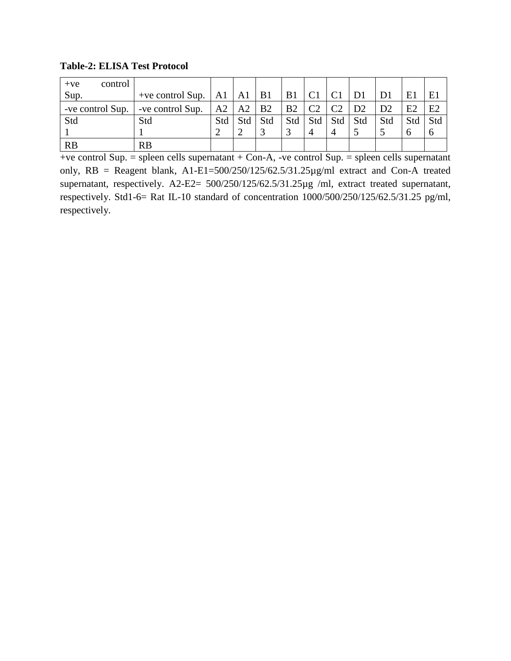**Table-2: ELISA Test Protocol**

| control<br>$+ve$ |                                        |     |                      |           |     |                |                |                |     |     |              |
|------------------|----------------------------------------|-----|----------------------|-----------|-----|----------------|----------------|----------------|-----|-----|--------------|
| Sup.             | +ve control Sup. $\vert$ A1 $\vert$ A1 |     |                      | <b>B1</b> | B1  | C <sub>1</sub> |                | D <sub>1</sub> |     | E1  | E1           |
| -ve control Sup. | -ve control Sup.                       |     | $A2 \mid A2 \mid B2$ |           | B2  | C <sub>2</sub> | C <sub>2</sub> | D2             | D2  | E2  | E2           |
| Std              | Std                                    | Std | Std                  | Std       | Std | Std            | Std            | Std            | Std | Std | Std          |
|                  |                                        |     |                      |           |     | $\overline{4}$ | 4              |                |     |     | <sub>0</sub> |
| <b>RB</b>        | <b>RB</b>                              |     |                      |           |     |                |                |                |     |     |              |

 $+ve$  control Sup. = spleen cells supernatant  $+ Con-A$ ,  $-ve$  control Sup. = spleen cells supernatant only, RB = Reagent blank, A1-E1=500/250/125/62.5/31.25µg/ml extract and Con-A treated supernatant, respectively. A2-E2=  $500/250/125/62.5/31.25\mu g$  /ml, extract treated supernatant, respectively. Std1-6= Rat IL-10 standard of concentration 1000/500/250/125/62.5/31.25 pg/ml, respectively.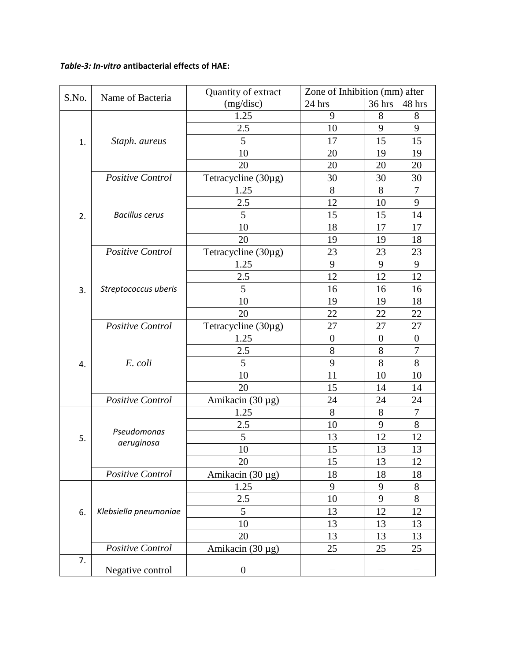## *Table-3: In-vitro* **antibacterial effects of HAE:**

|       | Name of Bacteria      | Quantity of extract   | Zone of Inhibition (mm) after |                  |                  |
|-------|-----------------------|-----------------------|-------------------------------|------------------|------------------|
| S.No. |                       | (mg/disc)             | 24 hrs                        | 36 hrs           | 48 hrs           |
|       |                       | 1.25                  | 9                             | 8                | 8                |
|       |                       | 2.5                   | 10                            | 9                | 9                |
| 1.    | Staph. aureus         | 5                     | 17                            | 15               | 15               |
|       |                       | 10                    | 20                            | 19               | 19               |
|       |                       | 20                    | 20                            | 20               | 20               |
|       | Positive Control      | Tetracycline (30µg)   | 30                            | 30               | 30               |
|       |                       | 1.25                  | 8                             | 8                | 7                |
|       |                       | 2.5                   | 12                            | 10               | 9                |
| 2.    | <b>Bacillus cerus</b> | 5                     | 15                            | 15               | 14               |
|       |                       | 10                    | 18                            | 17               | 17               |
|       |                       | 20                    | 19                            | 19               | 18               |
|       | Positive Control      | Tetracycline (30µg)   | 23                            | 23               | 23               |
|       |                       | 1.25                  | 9                             | 9                | 9                |
|       |                       | 2.5                   | 12                            | 12               | 12               |
| 3.    | Streptococcus uberis  | 5                     | 16                            | 16               | 16               |
|       |                       | 10                    | 19                            | 19               | 18               |
|       |                       | 20                    | 22                            | 22               | 22               |
|       | Positive Control      | Tetracycline (30µg)   | 27                            | 27               | 27               |
|       |                       | 1.25                  | $\boldsymbol{0}$              | $\boldsymbol{0}$ | $\boldsymbol{0}$ |
|       | E. coli               | 2.5                   | 8                             | 8                | $\overline{7}$   |
| 4.    |                       | 5                     | 9                             | 8                | 8                |
|       |                       | 10                    | 11                            | 10               | 10               |
|       |                       | 20                    | 15                            | 14               | 14               |
|       | Positive Control      | Amikacin (30 µg)      | 24                            | 24               | 24               |
|       |                       | 1.25                  | 8                             | 8                | $\tau$           |
|       |                       | 2.5                   | 10                            | 9                | 8                |
| 5.    | Pseudomonas           | 5                     | 13                            | 12               | 12               |
|       | aeruginosa            | 10                    | 15                            | 13               | 13               |
|       |                       | 20                    | 15                            | 13               | 12               |
|       | Positive Control      | Amikacin $(30 \mu g)$ | 18                            | 18               | 18               |
|       |                       | 1.25                  | 9                             | 9                | 8                |
|       |                       | 2.5                   | 10                            | 9                | 8                |
| 6.    | Klebsiella pneumoniae | 5                     | 13                            | 12               | 12               |
|       |                       | 10                    | 13                            | 13               | 13               |
|       |                       | 20                    | 13                            | 13               | 13               |
|       | Positive Control      | Amikacin (30 µg)      | 25                            | 25               | 25               |
| 7.    | Negative control      | $\boldsymbol{0}$      |                               |                  |                  |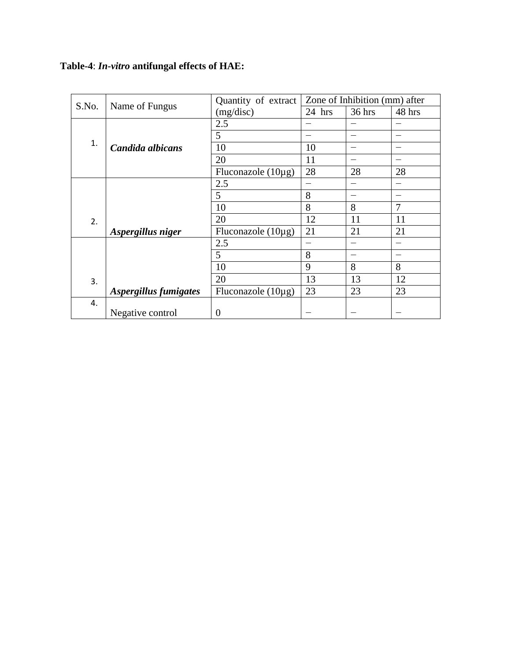## **Table-4**: *In-vitro* **antifungal effects of HAE:**

| S.No. | Name of Fungus        | Quantity of extract     | Zone of Inhibition (mm) after |        |        |
|-------|-----------------------|-------------------------|-------------------------------|--------|--------|
|       |                       | (mg/disc)               | $24$ hrs                      | 36 hrs | 48 hrs |
|       |                       | 2.5                     |                               |        |        |
|       |                       | 5                       |                               |        |        |
| 1.    | Candida albicans      | 10                      | 10                            |        |        |
|       |                       | 20                      | 11                            |        |        |
|       |                       | Fluconazole $(10\mu g)$ | 28                            | 28     | 28     |
|       |                       | 2.5                     |                               |        |        |
|       |                       | 5                       | 8                             |        |        |
|       |                       | 10                      | 8                             | 8      | 7      |
| 2.    |                       | 20                      | 12                            | 11     | 11     |
|       | Aspergillus niger     | Fluconazole $(10\mu g)$ | 21                            | 21     | 21     |
|       |                       | 2.5                     |                               |        |        |
|       |                       | 5                       | 8                             |        |        |
|       |                       | 10                      | 9                             | 8      | 8      |
| 3.    |                       | 20                      | 13                            | 13     | 12     |
|       | Aspergillus fumigates | Fluconazole $(10\mu g)$ | 23                            | 23     | 23     |
| 4.    |                       |                         |                               |        |        |
|       | Negative control      | $\Omega$                |                               |        |        |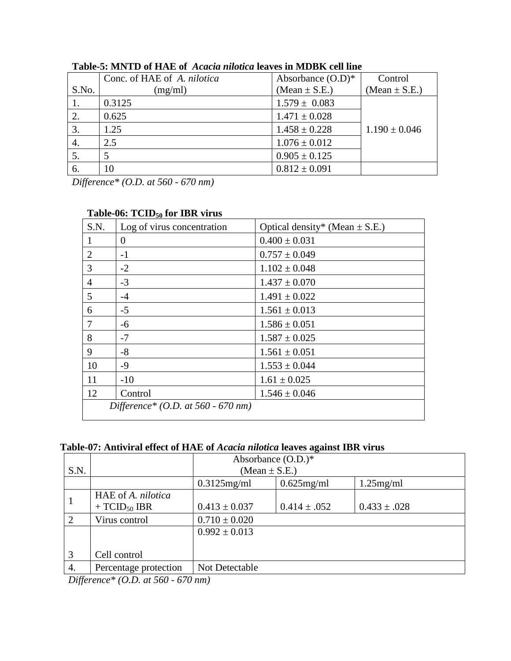|       | Conc. of HAE of A. nilotica | Absorbance $(O.D)*$ | Control           |
|-------|-----------------------------|---------------------|-------------------|
| S.No. | (mg/ml)                     | (Mean $\pm$ S.E.)   | (Mean $\pm$ S.E.) |
|       | 0.3125                      | $1.579 \pm 0.083$   |                   |
| 2.    | 0.625                       | $1.471 \pm 0.028$   |                   |
| 3.    | 1.25                        | $1.458 \pm 0.228$   | $1.190 \pm 0.046$ |
| 4.    | 2.5                         | $1.076 \pm 0.012$   |                   |
|       |                             | $0.905 \pm 0.125$   |                   |
| 6.    | 10                          | $0.812 \pm 0.091$   |                   |

**Table-5: MNTD of HAE of** *Acacia nilotica* **leaves in MDBK cell line**

*Difference\* (O.D. at 560 - 670 nm)*

|                 | $1400C$ -00. $1 \text{ C1D}_{50}$ for TDK virus |                                    |
|-----------------|-------------------------------------------------|------------------------------------|
| S.N.            | Log of virus concentration                      | Optical density* (Mean $\pm$ S.E.) |
|                 | $\theta$                                        | $0.400 \pm 0.031$                  |
| 2               | $-1$                                            | $0.757 \pm 0.049$                  |
| 3               | $-2$                                            | $1.102 \pm 0.048$                  |
| $\overline{4}$  | $-3$                                            | $1.437 \pm 0.070$                  |
| 5               | $-4$                                            | $1.491 \pm 0.022$                  |
| 6               | $-5$                                            | $1.561 \pm 0.013$                  |
| $7\phantom{.0}$ | -6                                              | $1.586 \pm 0.051$                  |
| 8               | $-7$                                            | $1.587 \pm 0.025$                  |
| 9               | $-8$                                            | $1.561 \pm 0.051$                  |
| 10              | $-9$                                            | $1.553 \pm 0.044$                  |
| 11              | $-10$                                           | $1.61 \pm 0.025$                   |
| 12              | Control                                         | $1.546 \pm 0.046$                  |
|                 | Difference* (O.D. at 560 - 670 nm)              |                                    |
|                 |                                                 |                                    |

## **Table-06: TCID<sup>50</sup> for IBR virus**

**Table-07: Antiviral effect of HAE of** *Acacia nilotica* **leaves against IBR virus**

|      |                                         | Absorbance $(O.D.)^*$ |                   |                  |  |  |  |
|------|-----------------------------------------|-----------------------|-------------------|------------------|--|--|--|
| S.N. |                                         |                       | (Mean $\pm$ S.E.) |                  |  |  |  |
|      |                                         | $0.3125$ mg/ml        | $0.625$ mg/ml     | $1.25$ mg/ml     |  |  |  |
|      | HAE of A. nilotica<br>+ $TCID_{50}$ IBR | $0.413 \pm 0.037$     | $0.414 \pm .052$  | $0.433 \pm .028$ |  |  |  |
|      | Virus control                           | $0.710 \pm 0.020$     |                   |                  |  |  |  |
|      |                                         | $0.992 \pm 0.013$     |                   |                  |  |  |  |
|      |                                         |                       |                   |                  |  |  |  |
| 3    | Cell control                            |                       |                   |                  |  |  |  |
| 4.   | Percentage protection                   | Not Detectable        |                   |                  |  |  |  |

*Difference\* (O.D. at 560 - 670 nm)*